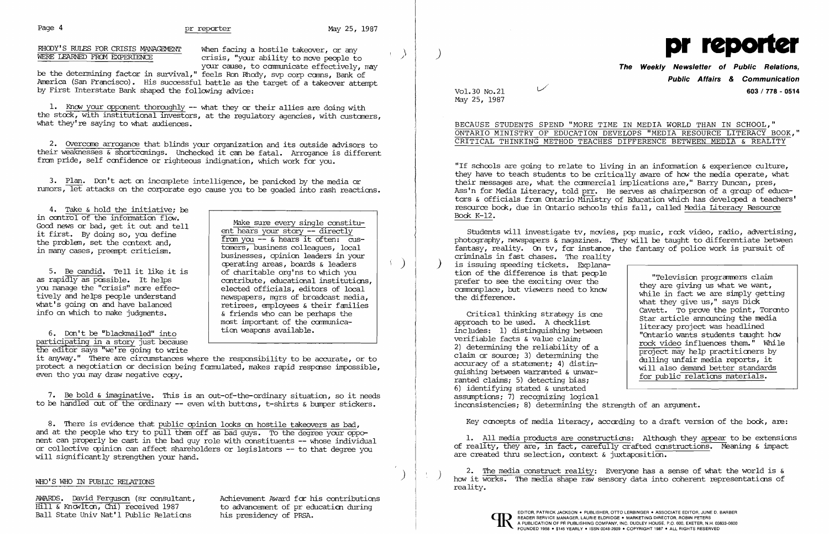## Page 4 **pr reporter** May 25, 1987

RHODY'S RULES FOR CRISIS MANAGEMENT When facing a hostile takeover, or any<br>WERE LEARNED FROM EXPERIENCE crisis "vour ability to move people to crisis, "your ability to move people to your cause, to communicate effectively, may

2. Overcane arrogance that blinds your organization and its outside advisors to their weaknesses & shortcanings. Unchecked it can be fataL Arrcqance is different from pride, self confidence or righteous indignation, which work for you.

be the determining factor in survival," feels Ron Rhedy, svp corp canns, Bank of America (San Francisco). His successful battle as the target of a takeover attempt by First Interstate Bank shaped the following advice:

1. Know your opponent thoroughly -- what they or their allies are doing with the stock, with institutional investors, at the regulatory agencies, with custaners, what they're saying to what audiences.

3. Plan. Don't act on incanplete intelligence, be panicked by the media or rumors, let attacks on the corporate ego cause you to be goaded into rash reactions.

4. Take & hold the initiative; be<br>in control of the information  $flow$ . Good news or bad, get it out and tell and tell it first. By doing so, you define

5. Be candid. Tell it like it is<br>as rapidly as possible. It helps you manage the "crisis" more effec-<br>tively and helps people understand tively and helps people understand<br>what's going on and have balanced<br>retirees, employees & their families what's going on and have balanced  $\left\{\n \begin{array}{c}\n \text{retrees, employees & their families} \\
\text{if friends who can be perhaps the\n \end{array}\n\right.\n\left.\n\right\}$ 

6. Don't be "blackmailed" into participating in a story just because

the editor says "we're going to write

the problem, set the context and,<br>in many cases, preempt criticism.<br>in many cases, preempt criticism.<br>businesses, opinion leaders in your operating areas, boards & leaders (1) contribute, educational institutions,<br>elected officials, editors of local  $\&$  friends who can be perhaps the most important of the communica-<br>tion weapons available.

it anyway." There are circumstances Where the responsibility to be accurate, or to protect a negotiation or decision being formulated, makes rapid response impossible, even tho you may draw negative copy.

7. Be bold & imaginative. This is an out-of-the-ordinary situation, so it needs to be handled out of the ordinary -- even with buttons, t-shirts & bumper stickers.

8. There is evidence that public opinion looks on hostile takeovers as bad, and at the people who try to pull them off as bad guys. To the degree your opponent can properly be cast in the bad guy role with constituents **--** whose individual or collective opinion can affect shareholders or legislators **--** to that degree you will significantly strengthen your hand.

Critical thinking strategy is one<br>approach to be used. A checklist<br>includes: 1) distinguishing between<br>verifiable facts & value claim;<br>2) determining the reliability of a<br>claim or source; 3) determining the<br>accuracy of a s claim or source; 3) determining the<br>accuracy of a statement; 4) distin-<br>guishing between warranted & unwar-<br>ranted claims; 5) detecting bias;<br> $\frac{1}{2}$  for public relations materials. 6) identifying stated & unstated assumptions; 7) recognizing logical inconsistencies; 8) determining the strength of an argument.

Key concepts of media literacy, according to a draft version of the book, are:

1. All media products are constructions: Although they appear to be extensions of reality, they are, in fact, carefully crafted constructions. Meaning  $\&$  impact are created thru selection, context  $\&$  juxtaposition.

### ) WHO'S WHO IN PUBLIC REIATIONS

Ball State Univ Nat'l Public Relations

AWARDS. David Ferguson (sr consultant, Achievement Award for his contributions  $\overline{H111}$  & Knowlton, Chi) received 1987 to advancement of preducation during to advancement of pr education during<br>his presidency of PRSA.

2. The media construct reality: Everyone has a sense of what the world is  $\kappa$  how it works. The media shape raw sensory data into coherent representations of reality.





## **The Weekly Newsletter of Public Relations, Public Affairs & Communication**  L./ Vol. 30 No.2l **603/778 - <sup>0514</sup>**

# May 25, 1987

BECAUSE STUDENTS SPEND "MORE TIME IN MEDIA WORLD THAN IN SCHOOL," ONTARIO MINISTRY OF EDUCATION DEVELOPS "MEDIA RESOURCE LITERACY BOOK," CRITICAL THINKING METHOD TEACHES DIFFERENCE BETWEEN MEDIA & REALITY

"If schools are going to relate to living in an information & experience culture, they have to teach students to be critically aware of how the media operate, what their messages are, what the canmercial implications are," Barry Duncan, pres, Ass'n for Media Literacy, told prr. He serves as chairperson of a group of educators & officials fran Ontario Ministry of Education which has develcped a teachers' resource bock, due in Ontario schools this fall, called Media Literacy Resource Bock K-12.

Students will investigate tv, movies, pop music, rock video, radio, advertising, photography, newspapers & magazines. They will be taught to differentiate between fantasy, reality. On tv, for instance, the fantasy of police work is pursuit of criminals in fast chases. The reality is issuing speeding tickets. Explana-<br>tion of the difference is that people tion of the difference is that people<br>prefer to see the exciting over the commonplace, but viewers need to know<br>the difference.<br>the difference.